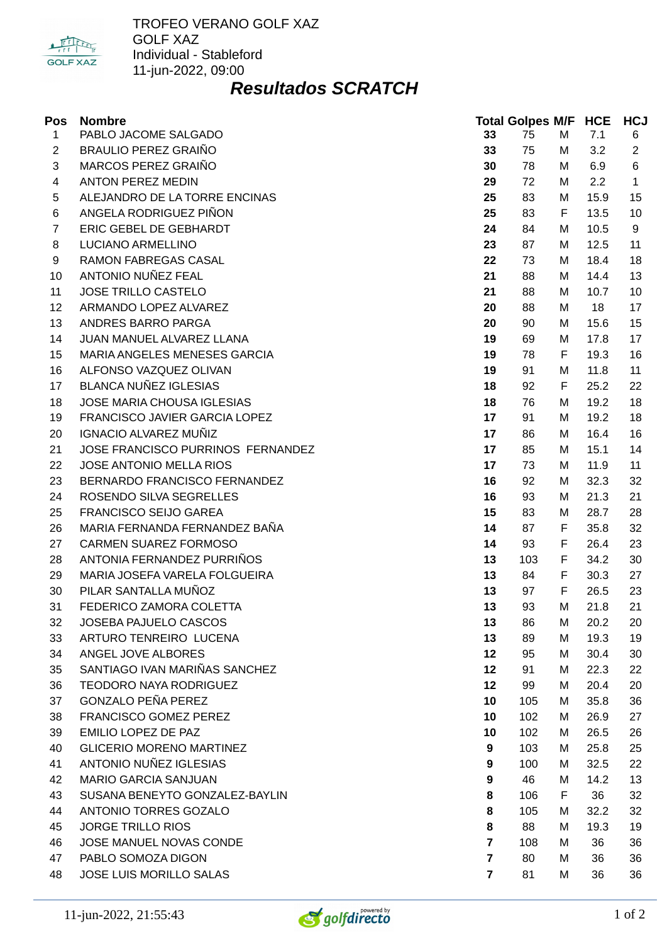

TROFEO VERANO GOLF XAZ GOLF XAZ Individual - Stableford 11-jun-2022, 09:00

## *Resultados SCRATCH*

| Pos            | <b>Nombre</b>                     |                | <b>Total Golpes M/F HCE</b> |   |      | <b>HCJ</b>     |
|----------------|-----------------------------------|----------------|-----------------------------|---|------|----------------|
| $\mathbf{1}$   | PABLO JACOME SALGADO              | 33             | 75                          | M | 7.1  | 6              |
| $\overline{2}$ | <b>BRAULIO PEREZ GRAIÑO</b>       | 33             | 75                          | М | 3.2  | $\overline{2}$ |
| 3              | MARCOS PEREZ GRAIÑO               | 30             | 78                          | М | 6.9  | 6              |
| 4              | <b>ANTON PEREZ MEDIN</b>          | 29             | 72                          | М | 2.2  | $\mathbf{1}$   |
| 5              | ALEJANDRO DE LA TORRE ENCINAS     | 25             | 83                          | М | 15.9 | 15             |
| 6              | ANGELA RODRIGUEZ PIÑON            | 25             | 83                          | F | 13.5 | 10             |
| $\overline{7}$ | ERIC GEBEL DE GEBHARDT            | 24             | 84                          | М | 10.5 | 9              |
| 8              | LUCIANO ARMELLINO                 | 23             | 87                          | М | 12.5 | 11             |
| 9              | RAMON FABREGAS CASAL              | 22             | 73                          | М | 18.4 | 18             |
| 10             | ANTONIO NUÑEZ FEAL                | 21             | 88                          | М | 14.4 | 13             |
| 11             | JOSE TRILLO CASTELO               | 21             | 88                          | М | 10.7 | 10             |
| 12             | ARMANDO LOPEZ ALVAREZ             | 20             | 88                          | М | 18   | 17             |
| 13             | ANDRES BARRO PARGA                | 20             | 90                          | М | 15.6 | 15             |
| 14             | JUAN MANUEL ALVAREZ LLANA         | 19             | 69                          | М | 17.8 | 17             |
| 15             | MARIA ANGELES MENESES GARCIA      | 19             | 78                          | F | 19.3 | 16             |
| 16             | ALFONSO VAZQUEZ OLIVAN            | 19             | 91                          | М | 11.8 | 11             |
| 17             | <b>BLANCA NUÑEZ IGLESIAS</b>      | 18             | 92                          | F | 25.2 | 22             |
| 18             | JOSE MARIA CHOUSA IGLESIAS        | 18             | 76                          | М | 19.2 | 18             |
| 19             | FRANCISCO JAVIER GARCIA LOPEZ     | 17             | 91                          | М | 19.2 | 18             |
| 20             | IGNACIO ALVAREZ MUÑIZ             | 17             | 86                          | М | 16.4 | 16             |
| 21             | JOSE FRANCISCO PURRINOS FERNANDEZ | 17             | 85                          | м | 15.1 | 14             |
| 22             | JOSE ANTONIO MELLA RIOS           | 17             | 73                          | М | 11.9 | 11             |
| 23             | BERNARDO FRANCISCO FERNANDEZ      | 16             | 92                          | М | 32.3 | 32             |
| 24             | ROSENDO SILVA SEGRELLES           | 16             | 93                          | М | 21.3 | 21             |
| 25             | FRANCISCO SEIJO GAREA             | 15             | 83                          | М | 28.7 | 28             |
| 26             | MARIA FERNANDA FERNANDEZ BAÑA     | 14             | 87                          | F | 35.8 | 32             |
| 27             | CARMEN SUAREZ FORMOSO             | 14             | 93                          | F | 26.4 | 23             |
| 28             | ANTONIA FERNANDEZ PURRIÑOS        | 13             | 103                         | F | 34.2 | 30             |
| 29             | MARIA JOSEFA VARELA FOLGUEIRA     | 13             | 84                          | F | 30.3 | 27             |
| 30             | PILAR SANTALLA MUÑOZ              | 13             | 97                          | F | 26.5 | 23             |
| 31             | FEDERICO ZAMORA COLETTA           | 13             | 93                          | M | 21.8 | 21             |
| 32             | JOSEBA PAJUELO CASCOS             | 13             | 86                          | M | 20.2 | 20             |
| 33             | ARTURO TENREIRO LUCENA            | 13             | 89                          | М | 19.3 | 19             |
| 34             | ANGEL JOVE ALBORES                | 12             | 95                          | М | 30.4 | 30             |
| 35             | SANTIAGO IVAN MARIÑAS SANCHEZ     | 12             | 91                          | М | 22.3 | 22             |
| 36             | <b>TEODORO NAYA RODRIGUEZ</b>     | 12             | 99                          | М | 20.4 | 20             |
| 37             | <b>GONZALO PEÑA PEREZ</b>         | 10             | 105                         | М | 35.8 | 36             |
| 38             | FRANCISCO GOMEZ PEREZ             | 10             | 102                         | М | 26.9 | 27             |
| 39             | EMILIO LOPEZ DE PAZ               | 10             | 102                         | М | 26.5 | 26             |
| 40             | <b>GLICERIO MORENO MARTINEZ</b>   | 9              | 103                         | М | 25.8 | 25             |
| 41             | ANTONIO NUÑEZ IGLESIAS            | 9              | 100                         | М | 32.5 | 22             |
| 42             | <b>MARIO GARCIA SANJUAN</b>       | 9              | 46                          | М | 14.2 | 13             |
| 43             | SUSANA BENEYTO GONZALEZ-BAYLIN    | 8              | 106                         | F | 36   | 32             |
| 44             | ANTONIO TORRES GOZALO             | 8              | 105                         | М | 32.2 | 32             |
| 45             | <b>JORGE TRILLO RIOS</b>          | 8              | 88                          | М | 19.3 | 19             |
| 46             | JOSE MANUEL NOVAS CONDE           | $\overline{7}$ | 108                         | М | 36   | 36             |
| 47             | PABLO SOMOZA DIGON                | $\overline{7}$ | 80                          | М | 36   | 36             |
| 48             | JOSE LUIS MORILLO SALAS           | $\overline{7}$ | 81                          | М | 36   | 36             |

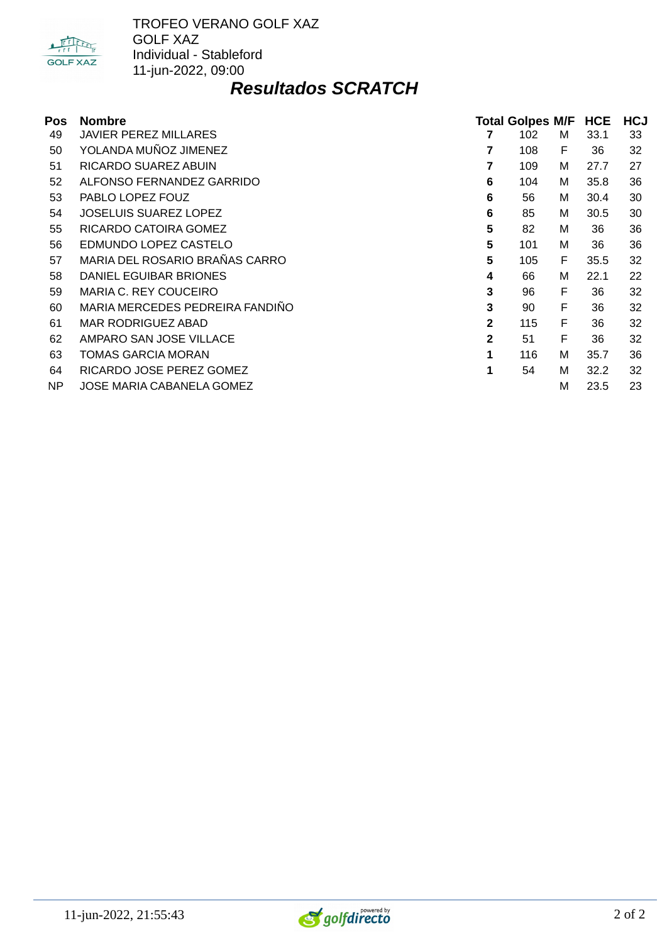

TROFEO VERANO GOLF XAZ GOLF XAZ Individual - Stableford 11-jun-2022, 09:00

## *Resultados SCRATCH*

| Pos | <b>Nombre</b>                   |                |     | <b>Total Golpes M/F</b><br><b>HCE</b> |      | <b>HCJ</b> |
|-----|---------------------------------|----------------|-----|---------------------------------------|------|------------|
| 49  | <b>JAVIER PEREZ MILLARES</b>    |                | 102 | М                                     | 33.1 | 33         |
| 50  | YOLANDA MUÑOZ JIMENEZ           | 7              | 108 | F                                     | 36   | 32         |
| 51  | RICARDO SUAREZ ABUIN            |                | 109 | м                                     | 27.7 | 27         |
| 52  | ALFONSO FERNANDEZ GARRIDO       | 6              | 104 | м                                     | 35.8 | 36         |
| 53  | PABLO LOPEZ FOUZ                | 6              | 56  | м                                     | 30.4 | 30         |
| 54  | <b>JOSELUIS SUAREZ LOPEZ</b>    | 6              | 85  | M                                     | 30.5 | 30         |
| 55  | RICARDO CATOIRA GOMEZ           | 5              | 82  | м                                     | 36   | 36         |
| 56  | EDMUNDO LOPEZ CASTELO           | 5              | 101 | м                                     | 36   | 36         |
| 57  | MARIA DEL ROSARIO BRAÑAS CARRO  | 5              | 105 | F                                     | 35.5 | 32         |
| 58  | DANIEL EGUIBAR BRIONES          | 4              | 66  | м                                     | 22.1 | 22         |
| 59  | MARIA C. REY COUCEIRO           | 3              | 96  | F                                     | 36   | 32         |
| 60  | MARIA MERCEDES PEDREIRA FANDIÑO | 3              | 90  | F                                     | 36   | 32         |
| 61  | <b>MAR RODRIGUEZ ABAD</b>       | $\mathbf{2}$   | 115 | F                                     | 36   | 32         |
| 62  | AMPARO SAN JOSE VILLACE         | $\overline{2}$ | 51  | F                                     | 36   | 32         |
| 63  | TOMAS GARCIA MORAN              | 1              | 116 | м                                     | 35.7 | 36         |
| 64  | RICARDO JOSE PEREZ GOMEZ        | 1              | 54  | м                                     | 32.2 | 32         |
| NP. | JOSE MARIA CABANELA GOMEZ       |                |     | M                                     | 23.5 | 23         |

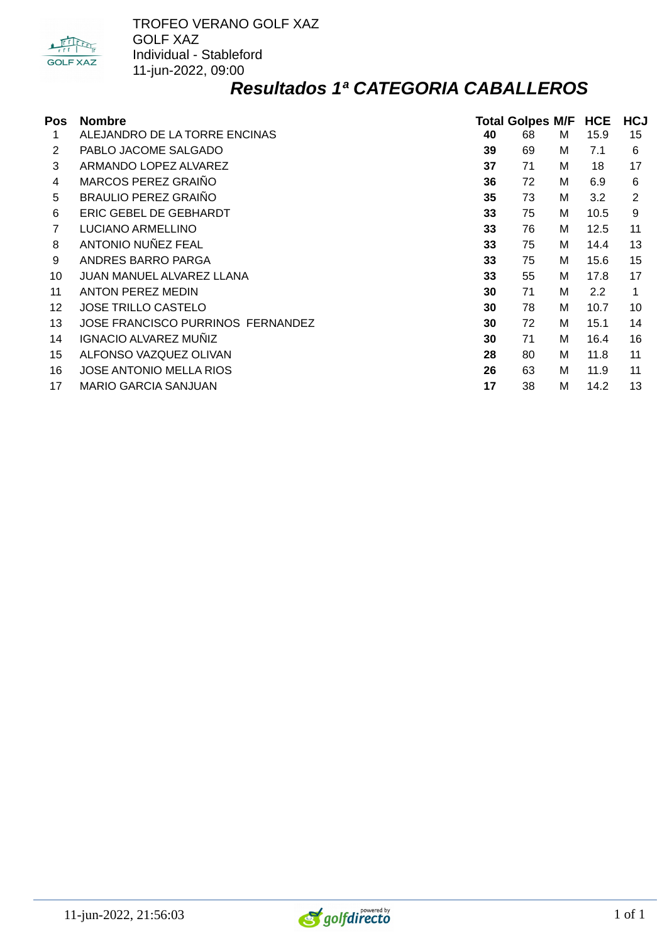

#### *Resultados 1ª CATEGORIA CABALLEROS*

| Pos | <b>Nombre</b>                            |    | <b>Total Golpes M/F</b> |   | <b>HCE</b> | <b>HCJ</b> |
|-----|------------------------------------------|----|-------------------------|---|------------|------------|
| 1   | ALEJANDRO DE LA TORRE ENCINAS            | 40 | 68                      | м | 15.9       | 15         |
| 2   | PABLO JACOME SALGADO                     | 39 | 69                      | м | 7.1        | 6          |
| 3   | ARMANDO LOPEZ ALVAREZ                    | 37 | 71                      | м | 18         | 17         |
| 4   | MARCOS PEREZ GRAIÑO                      | 36 | 72                      | м | 6.9        | 6          |
| 5   | <b>BRAULIO PEREZ GRAIÑO</b>              | 35 | 73                      | M | 3.2        | 2          |
| 6   | ERIC GEBEL DE GEBHARDT                   | 33 | 75                      | м | 10.5       | 9          |
| 7   | LUCIANO ARMELLINO                        | 33 | 76                      | M | 12.5       | 11         |
| 8   | ANTONIO NUÑEZ FEAL                       | 33 | 75                      | м | 14.4       | 13         |
| 9   | ANDRES BARRO PARGA                       | 33 | 75                      | м | 15.6       | 15         |
| 10  | JUAN MANUEL ALVAREZ LLANA                | 33 | 55                      | м | 17.8       | 17         |
| 11  | <b>ANTON PEREZ MEDIN</b>                 | 30 | 71                      | м | 2.2        | 1          |
| 12  | <b>JOSE TRILLO CASTELO</b>               | 30 | 78                      | M | 10.7       | 10         |
| 13  | <b>JOSE FRANCISCO PURRINOS FERNANDEZ</b> | 30 | 72                      | м | 15.1       | 14         |
| 14  | IGNACIO ALVAREZ MUÑIZ                    | 30 | 71                      | M | 16.4       | 16         |
| 15  | ALFONSO VAZQUEZ OLIVAN                   | 28 | 80                      | м | 11.8       | 11         |
| 16  | JOSE ANTONIO MELLA RIOS                  | 26 | 63                      | M | 11.9       | 11         |
| 17  | <b>MARIO GARCIA SANJUAN</b>              | 17 | 38                      | M | 14.2       | 13         |

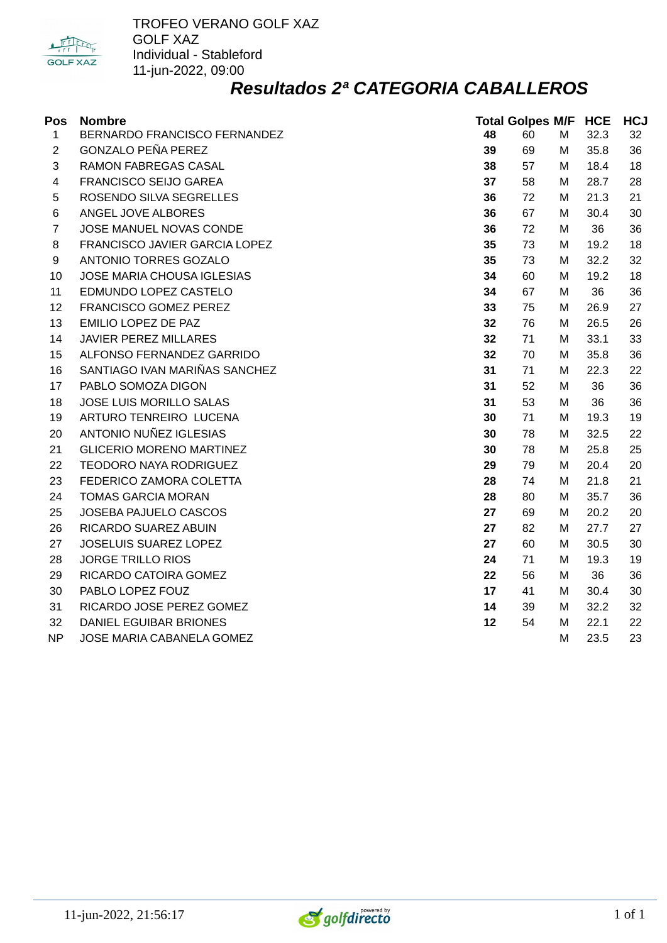

#### *Resultados 2ª CATEGORIA CABALLEROS*

| Pos            | <b>Nombre</b>                   |    | <b>Total Golpes M/F HCE</b> |   |      | <b>HCJ</b> |  |
|----------------|---------------------------------|----|-----------------------------|---|------|------------|--|
| $\mathbf{1}$   | BERNARDO FRANCISCO FERNANDEZ    | 48 | 60                          | M | 32.3 | 32         |  |
| $\overline{2}$ | <b>GONZALO PEÑA PEREZ</b>       | 39 | 69                          | М | 35.8 | 36         |  |
| 3              | RAMON FABREGAS CASAL            | 38 | 57                          | М | 18.4 | 18         |  |
| 4              | FRANCISCO SEIJO GAREA           | 37 | 58                          | м | 28.7 | 28         |  |
| 5              | ROSENDO SILVA SEGRELLES         | 36 | 72                          | м | 21.3 | 21         |  |
| 6              | ANGEL JOVE ALBORES              | 36 | 67                          | м | 30.4 | 30         |  |
| $\overline{7}$ | JOSE MANUEL NOVAS CONDE         | 36 | 72                          | М | 36   | 36         |  |
| 8              | FRANCISCO JAVIER GARCIA LOPEZ   | 35 | 73                          | М | 19.2 | 18         |  |
| 9              | ANTONIO TORRES GOZALO           | 35 | 73                          | М | 32.2 | 32         |  |
| 10             | JOSE MARIA CHOUSA IGLESIAS      | 34 | 60                          | М | 19.2 | 18         |  |
| 11             | EDMUNDO LOPEZ CASTELO           | 34 | 67                          | М | 36   | 36         |  |
| 12             | FRANCISCO GOMEZ PEREZ           | 33 | 75                          | м | 26.9 | 27         |  |
| 13             | EMILIO LOPEZ DE PAZ             | 32 | 76                          | м | 26.5 | 26         |  |
| 14             | <b>JAVIER PEREZ MILLARES</b>    | 32 | 71                          | м | 33.1 | 33         |  |
| 15             | ALFONSO FERNANDEZ GARRIDO       | 32 | 70                          | м | 35.8 | 36         |  |
| 16             | SANTIAGO IVAN MARIÑAS SANCHEZ   | 31 | 71                          | M | 22.3 | 22         |  |
| 17             | PABLO SOMOZA DIGON              | 31 | 52                          | М | 36   | 36         |  |
| 18             | JOSE LUIS MORILLO SALAS         | 31 | 53                          | м | 36   | 36         |  |
| 19             | ARTURO TENREIRO LUCENA          | 30 | 71                          | М | 19.3 | 19         |  |
| 20             | ANTONIO NUÑEZ IGLESIAS          | 30 | 78                          | М | 32.5 | 22         |  |
| 21             | <b>GLICERIO MORENO MARTINEZ</b> | 30 | 78                          | М | 25.8 | 25         |  |
| 22             | TEODORO NAYA RODRIGUEZ          | 29 | 79                          | м | 20.4 | 20         |  |
| 23             | FEDERICO ZAMORA COLETTA         | 28 | 74                          | м | 21.8 | 21         |  |
| 24             | <b>TOMAS GARCIA MORAN</b>       | 28 | 80                          | м | 35.7 | 36         |  |
| 25             | JOSEBA PAJUELO CASCOS           | 27 | 69                          | М | 20.2 | 20         |  |
| 26             | RICARDO SUAREZ ABUIN            | 27 | 82                          | М | 27.7 | 27         |  |
| 27             | JOSELUIS SUAREZ LOPEZ           | 27 | 60                          | М | 30.5 | 30         |  |
| 28             | <b>JORGE TRILLO RIOS</b>        | 24 | 71                          | М | 19.3 | 19         |  |
| 29             | RICARDO CATOIRA GOMEZ           | 22 | 56                          | М | 36   | 36         |  |
| 30             | PABLO LOPEZ FOUZ                | 17 | 41                          | М | 30.4 | 30         |  |
| 31             | RICARDO JOSE PEREZ GOMEZ        | 14 | 39                          | м | 32.2 | 32         |  |
| 32             | DANIEL EGUIBAR BRIONES          | 12 | 54                          | м | 22.1 | 22         |  |
| NP             | JOSE MARIA CABANELA GOMEZ       |    |                             | M | 23.5 | 23         |  |